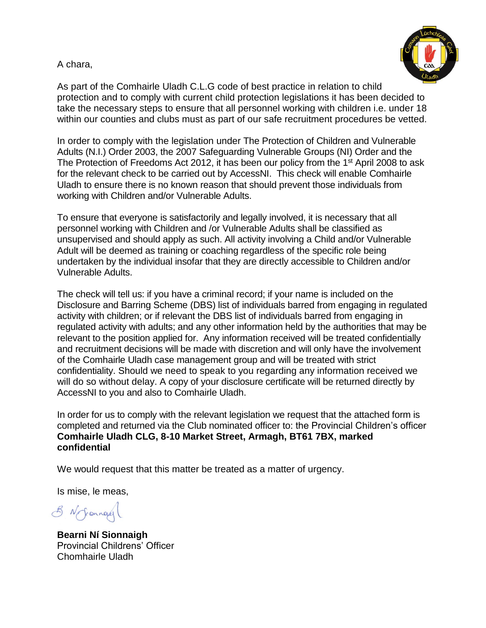## A chara,



As part of the Comhairle Uladh C.L.G code of best practice in relation to child protection and to comply with current child protection legislations it has been decided to take the necessary steps to ensure that all personnel working with children i.e. under 18 within our counties and clubs must as part of our safe recruitment procedures be vetted.

In order to comply with the legislation under The Protection of Children and Vulnerable Adults (N.I.) Order 2003, the 2007 Safeguarding Vulnerable Groups (NI) Order and the The Protection of Freedoms Act 2012, it has been our policy from the 1<sup>st</sup> April 2008 to ask for the relevant check to be carried out by AccessNI. This check will enable Comhairle Uladh to ensure there is no known reason that should prevent those individuals from working with Children and/or Vulnerable Adults.

To ensure that everyone is satisfactorily and legally involved, it is necessary that all personnel working with Children and /or Vulnerable Adults shall be classified as unsupervised and should apply as such. All activity involving a Child and/or Vulnerable Adult will be deemed as training or coaching regardless of the specific role being undertaken by the individual insofar that they are directly accessible to Children and/or Vulnerable Adults.

The check will tell us: if you have a criminal record; if your name is included on the Disclosure and Barring Scheme (DBS) list of individuals barred from engaging in regulated activity with children; or if relevant the DBS list of individuals barred from engaging in regulated activity with adults; and any other information held by the authorities that may be relevant to the position applied for. Any information received will be treated confidentially and recruitment decisions will be made with discretion and will only have the involvement of the Comhairle Uladh case management group and will be treated with strict confidentiality. Should we need to speak to you regarding any information received we will do so without delay. A copy of your disclosure certificate will be returned directly by AccessNI to you and also to Comhairle Uladh.

In order for us to comply with the relevant legislation we request that the attached form is completed and returned via the Club nominated officer to: the Provincial Children's officer **Comhairle Uladh CLG, 8-10 Market Street, Armagh, BT61 7BX, marked confidential**

We would request that this matter be treated as a matter of urgency.

Is mise, le meas,

8 N Jronnage

**Bearni Ní Sionnaigh** Provincial Childrens' Officer Chomhairle Uladh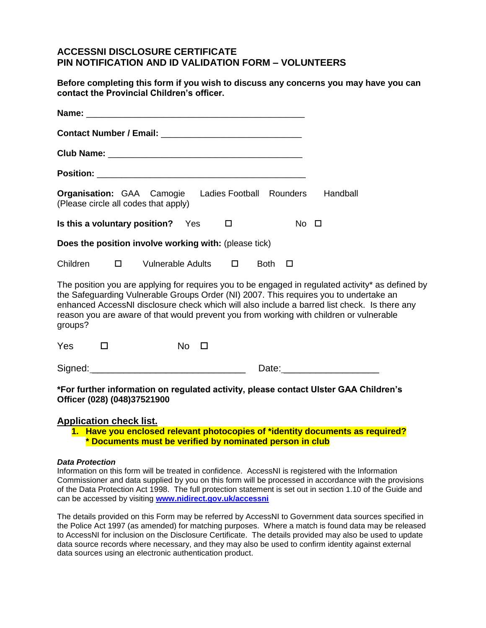## **ACCESSNI DISCLOSURE CERTIFICATE PIN NOTIFICATION AND ID VALIDATION FORM – VOLUNTEERS**

**Before completing this form if you wish to discuss any concerns you may have you can contact the Provincial Children's officer.** 

| <b>Organisation:</b> GAA Camogie Ladies Football Rounders Handball<br>(Please circle all codes that apply)                                                                                                                                                                                                                                                                                       |
|--------------------------------------------------------------------------------------------------------------------------------------------------------------------------------------------------------------------------------------------------------------------------------------------------------------------------------------------------------------------------------------------------|
| Is this a voluntary position? Yes<br>$No$ $\Box$<br>$\Box$                                                                                                                                                                                                                                                                                                                                       |
| Does the position involve working with: (please tick)                                                                                                                                                                                                                                                                                                                                            |
| Children □ Vulnerable Adults □<br>Both $\Box$                                                                                                                                                                                                                                                                                                                                                    |
| The position you are applying for requires you to be engaged in regulated activity* as defined by<br>the Safeguarding Vulnerable Groups Order (NI) 2007. This requires you to undertake an<br>enhanced AccessNI disclosure check which will also include a barred list check. Is there any<br>reason you are aware of that would prevent you from working with children or vulnerable<br>groups? |
| Yes<br>$No$ $\Box$<br>$\Box$                                                                                                                                                                                                                                                                                                                                                                     |
|                                                                                                                                                                                                                                                                                                                                                                                                  |
| *For further information on regulated activity, please contact Ulster GAA Children's<br>Officer (028) (048)37521900                                                                                                                                                                                                                                                                              |

#### **Application check list.**

**1. Have you enclosed relevant photocopies of \*identity documents as required? \* Documents must be verified by nominated person in club**

#### *Data Protection*

Information on this form will be treated in confidence. AccessNI is registered with the Information Commissioner and data supplied by you on this form will be processed in accordance with the provisions of the Data Protection Act 1998. The full protection statement is set out in section 1.10 of the Guide and can be accessed by visiting **[www.nidirect.gov.uk/accessni](http://www.nidirect.gov.uk/accessni)**

The details provided on this Form may be referred by AccessNI to Government data sources specified in the Police Act 1997 (as amended) for matching purposes. Where a match is found data may be released to AccessNI for inclusion on the Disclosure Certificate. The details provided may also be used to update data source records where necessary, and they may also be used to confirm identity against external data sources using an electronic authentication product.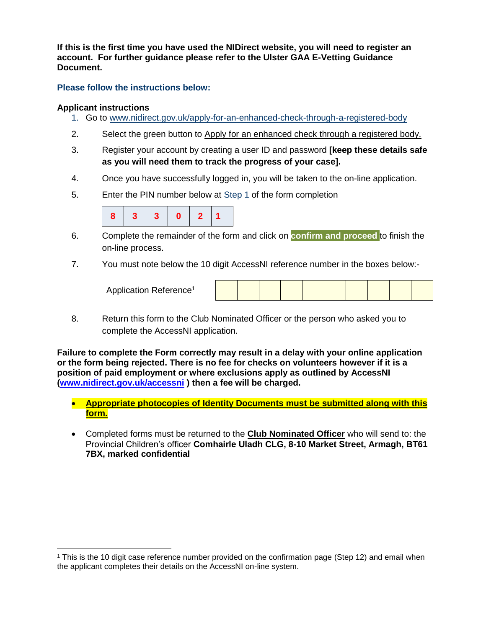**If this is the first time you have used the NIDirect website, you will need to register an account. For further guidance please refer to the Ulster GAA E-Vetting Guidance Document.** 

### **Please follow the instructions below:**

### **Applicant instructions**

 $\overline{a}$ 

- 1. Go to [www.nidirect.gov.uk/apply-for-an-enhanced-check-through-a-registered-body](http://www.nidirect.gov.uk/apply-for-an-enhanced-check-through-a-registered-body)
- 2. Select the green button to Apply for an enhanced check through a registered body.
- 3. Register your account by creating a user ID and password **[keep these details safe as you will need them to track the progress of your case].**
- 4. Once you have successfully logged in, you will be taken to the on-line application.
- 5. Enter the PIN number below at Step 1 of the form completion



- 6. Complete the remainder of the form and click on **confirm and proceed** to finish the on-line process.
- 7. You must note below the 10 digit AccessNI reference number in the boxes below:-

| Application Reference <sup>1</sup> |  |  |  |  |  |  |  |  |  |  |
|------------------------------------|--|--|--|--|--|--|--|--|--|--|
|------------------------------------|--|--|--|--|--|--|--|--|--|--|

8. Return this form to the Club Nominated Officer or the person who asked you to complete the AccessNI application.

**Failure to complete the Form correctly may result in a delay with your online application or the form being rejected. There is no fee for checks on volunteers however if it is a position of paid employment or where exclusions apply as outlined by AccessNI [\(www.nidirect.gov.uk/accessni](http://www.nidirect.gov.uk/accessni) ) then a fee will be charged.** 

- **Appropriate photocopies of Identity Documents must be submitted along with this form.**
- Completed forms must be returned to the **Club Nominated Officer** who will send to: the Provincial Children's officer **Comhairle Uladh CLG, 8-10 Market Street, Armagh, BT61 7BX, marked confidential**

<sup>1</sup> This is the 10 digit case reference number provided on the confirmation page (Step 12) and email when the applicant completes their details on the AccessNI on-line system.